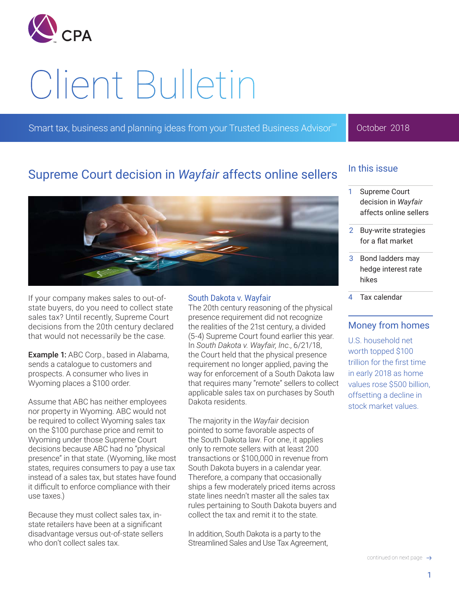

# Client Bulletin

Smart tax, business and planning ideas from your Trusted Business Advisor<sup>SM</sup>

## October 2018

# Supreme Court decision in *Wayfair* affects online sellers



If your company makes sales to out-ofstate buyers, do you need to collect state sales tax? Until recently, Supreme Court decisions from the 20th century declared that would not necessarily be the case.

Example 1: ABC Corp., based in Alabama, sends a catalogue to customers and prospects. A consumer who lives in Wyoming places a \$100 order.

Assume that ABC has neither employees nor property in Wyoming. ABC would not be required to collect Wyoming sales tax on the \$100 purchase price and remit to Wyoming under those Supreme Court decisions because ABC had no "physical presence" in that state. (Wyoming, like most states, requires consumers to pay a use tax instead of a sales tax, but states have found it difficult to enforce compliance with their use taxes.)

Because they must collect sales tax, instate retailers have been at a significant disadvantage versus out-of-state sellers who don't collect sales tax.

## South Dakota v. Wayfair

The 20th century reasoning of the physical presence requirement did not recognize the realities of the 21st century, a divided (5-4) Supreme Court found earlier this year. In *South Dakota v. Wayfair, Inc*., 6/21/18, the Court held that the physical presence requirement no longer applied, paving the way for enforcement of a South Dakota law that requires many "remote" sellers to collect applicable sales tax on purchases by South Dakota residents.

The majority in the *Wayfair* decision pointed to some favorable aspects of the South Dakota law. For one, it applies only to remote sellers with at least 200 transactions or \$100,000 in revenue from South Dakota buyers in a calendar year. Therefore, a company that occasionally ships a few moderately priced items across state lines needn't master all the sales tax rules pertaining to South Dakota buyers and collect the tax and remit it to the state.

In addition, South Dakota is a party to the Streamlined Sales and Use Tax Agreement,

## In this issue

- 1 Supreme Court decision in *Wayfair* affects online sellers
- 2 [Buy-write strategies](#page-1-0)  [for a flat market](#page-1-0)
- 3 [Bond ladders may](#page-2-0)  [hedge interest rate](#page-2-0)  [hikes](#page-2-0)
- 4 [Tax calendar](#page-3-0)

## Money from homes

U.S. household net worth topped \$100 trillion for the first time in early 2018 as home values rose \$500 billion, offsetting a decline in stock market values.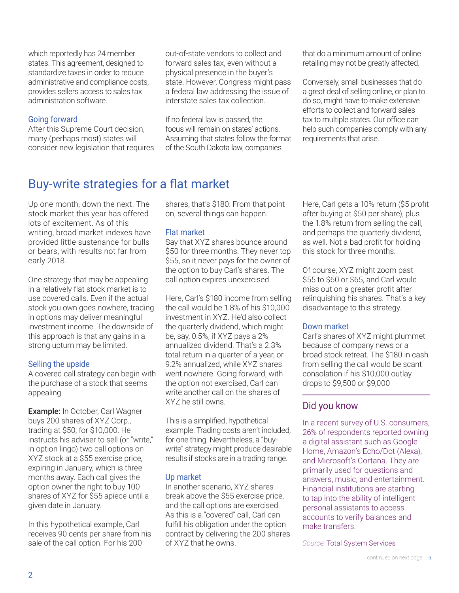<span id="page-1-0"></span>which reportedly has 24 member states. This agreement, designed to standardize taxes in order to reduce administrative and compliance costs, provides sellers access to sales tax administration software.

## Going forward

After this Supreme Court decision, many (perhaps most) states will consider new legislation that requires out-of-state vendors to collect and forward sales tax, even without a physical presence in the buyer's state. However, Congress might pass a federal law addressing the issue of interstate sales tax collection.

If no federal law is passed, the focus will remain on states' actions. Assuming that states follow the format of the South Dakota law, companies

that do a minimum amount of online retailing may not be greatly affected.

Conversely, small businesses that do a great deal of selling online, or plan to do so, might have to make extensive efforts to collect and forward sales tax to multiple states. Our office can help such companies comply with any requirements that arise.

# Buy-write strategies for a flat market

Up one month, down the next. The stock market this year has offered lots of excitement. As of this writing, broad market indexes have provided little sustenance for bulls or bears, with results not far from early 2018.

One strategy that may be appealing in a relatively flat stock market is to use covered calls. Even if the actual stock you own goes nowhere, trading in options may deliver meaningful investment income. The downside of this approach is that any gains in a strong upturn may be limited.

## Selling the upside

A covered call strategy can begin with the purchase of a stock that seems appealing.

Example: In October, Carl Wagner buys 200 shares of XYZ Corp., trading at \$50, for \$10,000. He instructs his adviser to sell (or "write," in option lingo) two call options on XYZ stock at a \$55 exercise price, expiring in January, which is three months away. Each call gives the option owner the right to buy 100 shares of XYZ for \$55 apiece until a given date in January.

In this hypothetical example, Carl receives 90 cents per share from his sale of the call option. For his 200

shares, that's \$180. From that point on, several things can happen.

## Flat market

Say that XYZ shares bounce around \$50 for three months. They never top \$55, so it never pays for the owner of the option to buy Carl's shares. The call option expires unexercised.

Here, Carl's \$180 income from selling the call would be 1.8% of his \$10,000 investment in XYZ. He'd also collect the quarterly dividend, which might be, say, 0.5%, if XYZ pays a 2% annualized dividend. That's a 2.3% total return in a quarter of a year, or 9.2% annualized, while XYZ shares went nowhere. Going forward, with the option not exercised, Carl can write another call on the shares of XYZ he still owns.

This is a simplified, hypothetical example. Trading costs aren't included, for one thing. Nevertheless, a "buywrite" strategy might produce desirable results if stocks are in a trading range.

## Up market

In another scenario, XYZ shares break above the \$55 exercise price, and the call options are exercised. As this is a "covered" call, Carl can fulfill his obligation under the option contract by delivering the 200 shares of XYZ that he owns.

Here, Carl gets a 10% return (\$5 profit after buying at \$50 per share), plus the 1.8% return from selling the call, and perhaps the quarterly dividend, as well. Not a bad profit for holding this stock for three months.

Of course, XYZ might zoom past \$55 to \$60 or \$65, and Carl would miss out on a greater profit after relinquishing his shares. That's a key disadvantage to this strategy.

## Down market

Carl's shares of XYZ might plummet because of company news or a broad stock retreat. The \$180 in cash from selling the call would be scant consolation if his \$10,000 outlay drops to \$9,500 or \$9,000

## Did you know

In a recent survey of U.S. consumers, 26% of respondents reported owning a digital assistant such as Google Home, Amazon's Echo/Dot (Alexa), and Microsoft's Cortana. They are primarily used for questions and answers, music, and entertainment. Financial institutions are starting to tap into the ability of intelligent personal assistants to access accounts to verify balances and make transfers.

*Source:* Total System Services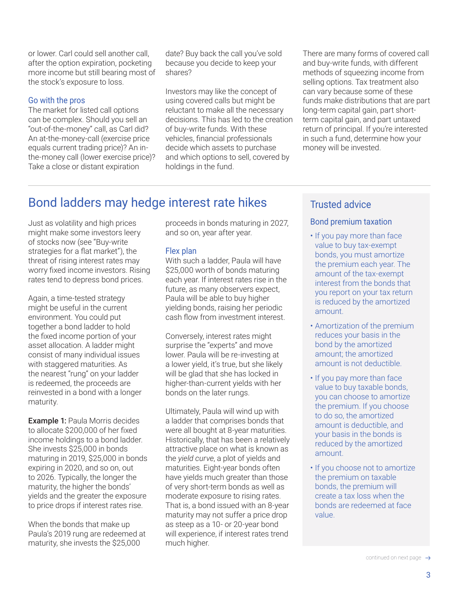<span id="page-2-0"></span>or lower. Carl could sell another call, after the option expiration, pocketing more income but still bearing most of the stock's exposure to loss.

## Go with the pros

The market for listed call options can be complex. Should you sell an "out-of-the-money" call, as Carl did? An at-the-money-call (exercise price equals current trading price)? An inthe-money call (lower exercise price)? Take a close or distant expiration

date? Buy back the call you've sold because you decide to keep your shares?

Investors may like the concept of using covered calls but might be reluctant to make all the necessary decisions. This has led to the creation of buy-write funds. With these vehicles, financial professionals decide which assets to purchase and which options to sell, covered by holdings in the fund.

There are many forms of covered call and buy-write funds, with different methods of squeezing income from selling options. Tax treatment also can vary because some of these funds make distributions that are part long-term capital gain, part shortterm capital gain, and part untaxed return of principal. If you're interested in such a fund, determine how your money will be invested.

# Bond ladders may hedge interest rate hikes

Just as volatility and high prices might make some investors leery of stocks now (see "Buy-write strategies for a flat market"), the threat of rising interest rates may worry fixed income investors. Rising rates tend to depress bond prices.

Again, a time-tested strategy might be useful in the current environment. You could put together a bond ladder to hold the fixed income portion of your asset allocation. A ladder might consist of many individual issues with staggered maturities. As the nearest "rung" on your ladder is redeemed, the proceeds are reinvested in a bond with a longer maturity.

Example 1: Paula Morris decides to allocate \$200,000 of her fixed income holdings to a bond ladder. She invests \$25,000 in bonds maturing in 2019, \$25,000 in bonds expiring in 2020, and so on, out to 2026. Typically, the longer the maturity, the higher the bonds' yields and the greater the exposure to price drops if interest rates rise.

When the bonds that make up Paula's 2019 rung are redeemed at maturity, she invests the \$25,000

proceeds in bonds maturing in 2027, and so on, year after year.

## Flex plan

With such a ladder, Paula will have \$25,000 worth of bonds maturing each year. If interest rates rise in the future, as many observers expect, Paula will be able to buy higher yielding bonds, raising her periodic cash flow from investment interest.

Conversely, interest rates might surprise the "experts" and move lower. Paula will be re-investing at a lower yield, it's true, but she likely will be glad that she has locked in higher-than-current yields with her bonds on the later rungs.

Ultimately, Paula will wind up with a ladder that comprises bonds that were all bought at 8-year maturities. Historically, that has been a relatively attractive place on what is known as the *yield curve*, a plot of yields and maturities. Eight-year bonds often have yields much greater than those of very short-term bonds as well as moderate exposure to rising rates. That is, a bond issued with an 8-year maturity may not suffer a price drop as steep as a 10- or 20-year bond will experience, if interest rates trend much higher.

## Trusted advice

## Bond premium taxation

- If you pay more than face value to buy tax-exempt bonds, you must amortize the premium each year. The amount of the tax-exempt interest from the bonds that you report on your tax return is reduced by the amortized amount.
- Amortization of the premium reduces your basis in the bond by the amortized amount; the amortized amount is not deductible.
- If you pay more than face value to buy taxable bonds, you can choose to amortize the premium. If you choose to do so, the amortized amount is deductible, and your basis in the bonds is reduced by the amortized amount.
- If you choose not to amortize the premium on taxable bonds, the premium will create a tax loss when the bonds are redeemed at face value.